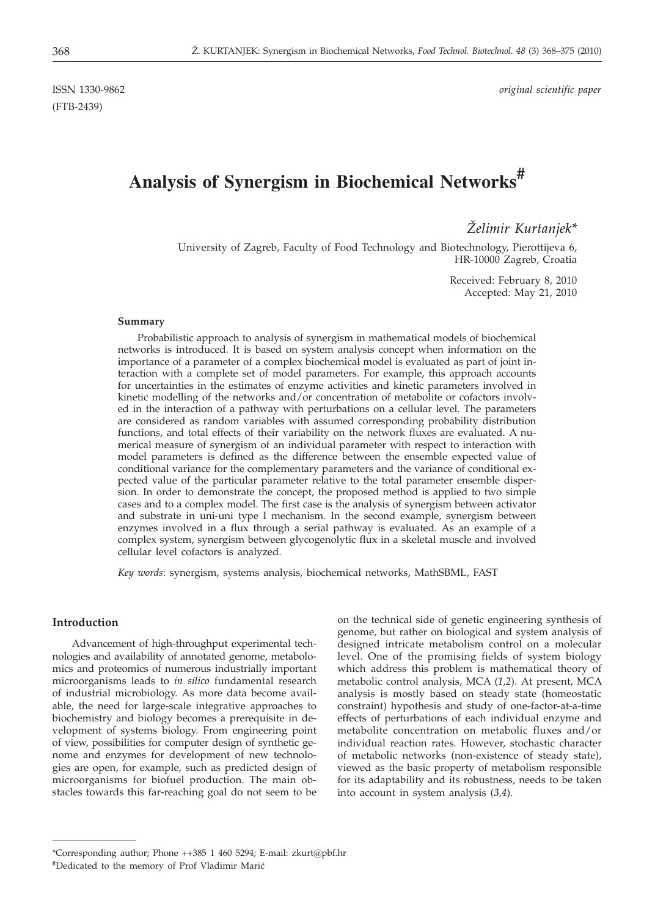(FTB-2439)

ISSN 1330-9862 *original scientific paper*

# **Analysis of Synergism in Biochemical Networks#**

*@elimir Kurtanjek\**

University of Zagreb, Faculty of Food Technology and Biotechnology, Pierottijeva 6, HR-10000 Zagreb, Croatia

> Received: February 8, 2010 Accepted: May 21, 2010

#### **Summary**

Probabilistic approach to analysis of synergism in mathematical models of biochemical networks is introduced. It is based on system analysis concept when information on the importance of a parameter of a complex biochemical model is evaluated as part of joint interaction with a complete set of model parameters. For example, this approach accounts for uncertainties in the estimates of enzyme activities and kinetic parameters involved in kinetic modelling of the networks and/or concentration of metabolite or cofactors involved in the interaction of a pathway with perturbations on a cellular level. The parameters are considered as random variables with assumed corresponding probability distribution functions, and total effects of their variability on the network fluxes are evaluated. A numerical measure of synergism of an individual parameter with respect to interaction with model parameters is defined as the difference between the ensemble expected value of conditional variance for the complementary parameters and the variance of conditional expected value of the particular parameter relative to the total parameter ensemble dispersion. In order to demonstrate the concept, the proposed method is applied to two simple cases and to a complex model. The first case is the analysis of synergism between activator and substrate in uni-uni type I mechanism. In the second example, synergism between enzymes involved in a flux through a serial pathway is evaluated. As an example of a complex system, synergism between glycogenolytic flux in a skeletal muscle and involved cellular level cofactors is analyzed.

*Key words*: synergism, systems analysis, biochemical networks, MathSBML, FAST

#### **Introduction**

Advancement of high-throughput experimental technologies and availability of annotated genome, metabolomics and proteomics of numerous industrially important microorganisms leads to *in silico* fundamental research of industrial microbiology. As more data become available, the need for large-scale integrative approaches to biochemistry and biology becomes a prerequisite in development of systems biology. From engineering point of view, possibilities for computer design of synthetic genome and enzymes for development of new technologies are open, for example, such as predicted design of microorganisms for biofuel production. The main obstacles towards this far-reaching goal do not seem to be on the technical side of genetic engineering synthesis of genome, but rather on biological and system analysis of designed intricate metabolism control on a molecular level. One of the promising fields of system biology which address this problem is mathematical theory of metabolic control analysis, MCA (*1,2*). At present, MCA analysis is mostly based on steady state (homeostatic constraint) hypothesis and study of one-factor-at-a-time effects of perturbations of each individual enzyme and metabolite concentration on metabolic fluxes and/or individual reaction rates. However, stochastic character of metabolic networks (non-existence of steady state), viewed as the basic property of metabolism responsible for its adaptability and its robustness, needs to be taken into account in system analysis (*3,4*).

<sup>\*</sup>Corresponding author; Phone ++385 1 460 5294; E-mail: zkurt@pbf.hr

<sup>#</sup>Dedicated to the memory of Prof Vladimir Marić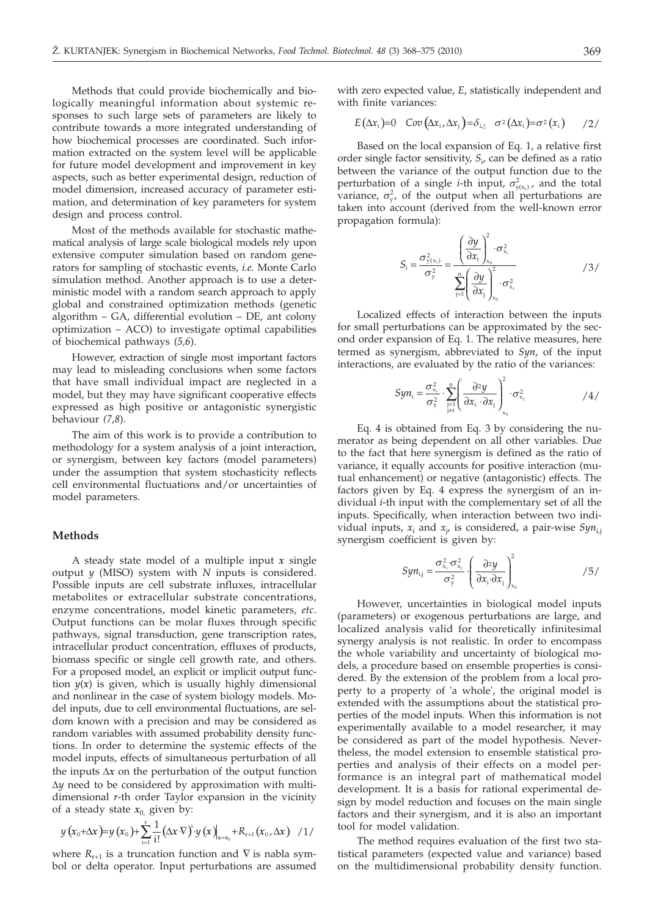Methods that could provide biochemically and biologically meaningful information about systemic responses to such large sets of parameters are likely to contribute towards a more integrated understanding of how biochemical processes are coordinated. Such information extracted on the system level will be applicable for future model development and improvement in key aspects, such as better experimental design, reduction of model dimension, increased accuracy of parameter estimation, and determination of key parameters for system design and process control.

Most of the methods available for stochastic mathematical analysis of large scale biological models rely upon extensive computer simulation based on random generators for sampling of stochastic events, *i.e.* Monte Carlo simulation method. Another approach is to use a deterministic model with a random search approach to apply global and constrained optimization methods (genetic algorithm – GA, differential evolution – DE, ant colony optimization – ACO) to investigate optimal capabilities of biochemical pathways (*5,6*).

However, extraction of single most important factors may lead to misleading conclusions when some factors that have small individual impact are neglected in a model, but they may have significant cooperative effects expressed as high positive or antagonistic synergistic behaviour *(7,8*).

The aim of this work is to provide a contribution to methodology for a system analysis of a joint interaction, or synergism, between key factors (model parameters) under the assumption that system stochasticity reflects cell environmental fluctuations and/or uncertainties of model parameters.

#### **Methods**

A steady state model of a multiple input *x* single output *y* (MISO) system with *N* inputs is considered. Possible inputs are cell substrate influxes, intracellular metabolites or extracellular substrate concentrations, enzyme concentrations, model kinetic parameters, *etc*. Output functions can be molar fluxes through specific pathways, signal transduction, gene transcription rates, intracellular product concentration, effluxes of products, biomass specific or single cell growth rate, and others. For a proposed model, an explicit or implicit output function  $y(x)$  is given, which is usually highly dimensional and nonlinear in the case of system biology models. Model inputs, due to cell environmental fluctuations, are seldom known with a precision and may be considered as random variables with assumed probability density functions. In order to determine the systemic effects of the model inputs, effects of simultaneous perturbation of all the inputs  $\Delta x$  on the perturbation of the output function  $\Delta y$  need to be considered by approximation with multidimensional *r*-th order Taylor expansion in the vicinity of a steady state  $x_0$  given by:

$$
y\left(x_0+\Delta x\right)=y\left(x_0\right)+\sum_{i=1}^r\frac{1}{i!}\left(\Delta x\cdot\nabla\right)^iy\left(x\right)\big|_{x=x_0}+R_{r+1}\left(x_0,\Delta x\right)\quad/1/
$$

where  $R_{r+1}$  is a truncation function and  $\nabla$  is nabla symbol or delta operator. Input perturbations are assumed with zero expected value, *E*, statistically independent and with finite variances:

$$
E(\Delta x_i)=0 \quad Cov(\Delta x_i,\Delta x_j)=\delta_{i,j} \quad \sigma^2(\Delta x_i)=\sigma^2(x_i) \qquad /2/
$$

Based on the local expansion of Eq. 1, a relative first order single factor sensitivity, *S*<sup>i</sup> , can be defined as a ratio between the variance of the output function due to the perturbation of a single *i*-th input,  $\sigma_{y(x_i)}^2$ , and the total<br>variance  $\sigma^2$  of the output when all perturbations are variance,  $\sigma_y^2$ , of the output when all perturbations are<br>taken into account (derived from the well-known error taken into account (derived from the well-known error propagation formula):

$$
S_{i} = \frac{\sigma_{y(x_{i})}^{2}}{\sigma_{y}^{2}} = \frac{\left(\frac{\partial y}{\partial x_{i}}\right)_{x_{0}}^{2} \cdot \sigma_{x_{i}}^{2}}{\sum_{j=1}^{n} \left(\frac{\partial y}{\partial x_{j}}\right)_{x_{0}}^{2} \cdot \sigma_{x_{i}}^{2}}
$$

Localized effects of interaction between the inputs for small perturbations can be approximated by the second order expansion of Eq. 1. The relative measures, here termed as synergism, abbreviated to *Syn*, of the input interactions, are evaluated by the ratio of the variances:

$$
Sym_{i} = \frac{\sigma_{x_i}^2}{\sigma_y^2} \cdot \sum_{\substack{j=1 \ j \neq i}}^{n} \left( \frac{\partial^2 y}{\partial x_i \cdot \partial x_j} \right)_{x_0}^{2} \cdot \sigma_{x_j}^2 \qquad \qquad \text{(4)}
$$

Eq. 4 is obtained from Eq. 3 by considering the numerator as being dependent on all other variables. Due to the fact that here synergism is defined as the ratio of variance, it equally accounts for positive interaction (mutual enhancement) or negative (antagonistic) effects. The factors given by Eq. 4 express the synergism of an individual *i*-th input with the complementary set of all the inputs. Specifically, when interaction between two individual inputs, *x*<sup>i</sup> and *x*<sup>j</sup> , is considered, a pair-wise *Syn*i*,*<sup>j</sup> synergism coefficient is given by:

$$
Syn_{i,j} = \frac{\sigma_{x_i}^2 \cdot \sigma_{x_j}^2}{\sigma_y^2} \cdot \left(\frac{\partial^2 y}{\partial x_i \cdot \partial x_j}\right)_{x_0}^2 \tag{5/}
$$

However, uncertainties in biological model inputs (parameters) or exogenous perturbations are large, and localized analysis valid for theoretically infinitesimal synergy analysis is not realistic. In order to encompass the whole variability and uncertainty of biological models, a procedure based on ensemble properties is considered. By the extension of the problem from a local property to a property of 'a whole', the original model is extended with the assumptions about the statistical properties of the model inputs. When this information is not experimentally available to a model researcher, it may be considered as part of the model hypothesis. Nevertheless, the model extension to ensemble statistical properties and analysis of their effects on a model performance is an integral part of mathematical model development. It is a basis for rational experimental design by model reduction and focuses on the main single factors and their synergism, and it is also an important tool for model validation.

The method requires evaluation of the first two statistical parameters (expected value and variance) based on the multidimensional probability density function.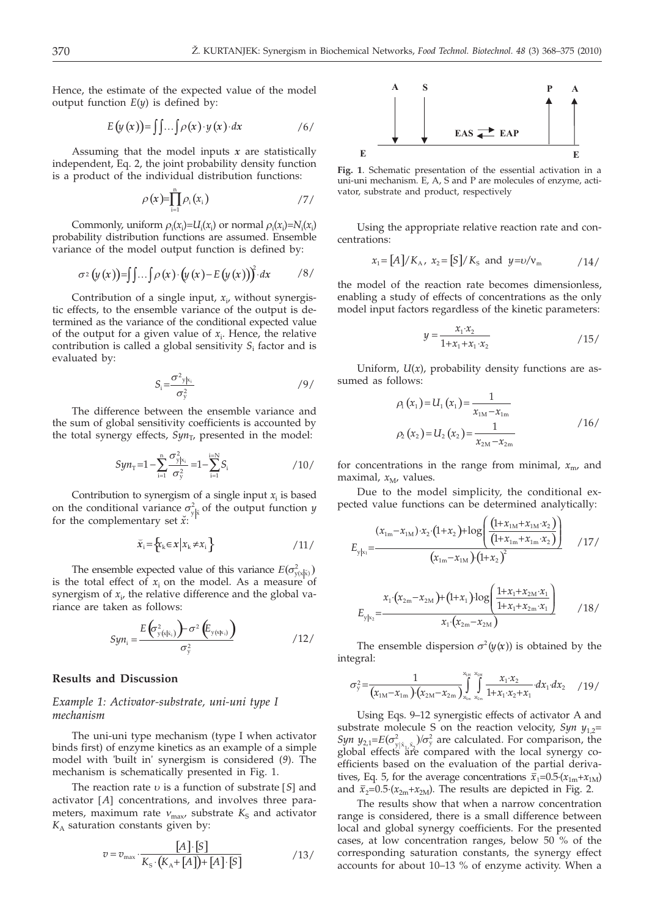Hence, the estimate of the expected value of the model output function  $E(y)$  is defined by:

$$
E(y(x)) = \iint \dots \int \rho(x) \cdot y(x) \cdot dx \qquad \qquad /6
$$

Assuming that the model inputs *x* are statistically independent, Eq. 2, the joint probability density function is a product of the individual distribution functions:

$$
\rho(x)=\prod_{i=1}^n\rho_i(x_i) \qquad \qquad \text{17/}
$$

Commonly, uniform  $\rho_i(x_i)=U_i(x_i)$  or normal  $\rho_i(x_i)=N_i(x_i)$ <br>vability distribution functions are assumed. Ensemble probability distribution functions are assumed. Ensemble variance of the model output function is defined by:

$$
\sigma^2(y(x)) = \int \int \ldots \int \rho(x) \cdot (y(x) - E(y(x)))^2 dx \qquad \quad \text{(8)}
$$

Contribution of a single input, *x*<sup>i</sup> , without synergistic effects, to the ensemble variance of the output is determined as the variance of the conditional expected value of the output for a given value of  $x_i$ . Hence, the relative contribution is called a global sensitivity *S*<sup>i</sup> factor and is evaluated by:

$$
S_i = \frac{\sigma^2_{y|x_i}}{\sigma_y^2}
$$

The difference between the ensemble variance and the sum of global sensitivity coefficients is accounted by the total synergy effects,  $Syn_T$ , presented in the model:

$$
Syn_{\rm T} = 1 - \sum_{i=1}^{\rm n} \frac{\sigma_{y|x_i}^2}{\sigma_y^2} = 1 - \sum_{i=1}^{i=N} S_i
$$

Contribution to synergism of a single input  $x_i$  is based on the conditional variance  $\sigma_{y|x}^2$  of the output function *y* for the complementary set  $\check{x}$ ; for the complementary set  $\check{x}$ :

$$
\widetilde{x}_i = \left\{ x_k \in x \, \middle| \, x_k \neq x_i \right\} \tag{11/}
$$

The ensemble expected value of this variance  $E(\sigma_{y(x|x)}^2)$ <br>le total effect of x on the model. As a measure of is the total effect of  $x_i$  on the model. As a measure of synergism of  $x_i$ , the relative difference and the global variance are taken as follows:

$$
Syn_i = \frac{E\left(\sigma_{y(s|x_i)}^2\right) - \sigma^2 \left(E_{y(s|x_i)}\right)}{\sigma_y^2} \tag{12}
$$

#### **Results and Discussion**

### *Example 1: Activator-substrate, uni-uni type I mechanism*

The uni-uni type mechanism (type I when activator binds first) of enzyme kinetics as an example of a simple model with 'built in' synergism is considered (*9*). The mechanism is schematically presented in Fig. 1.

The reaction rate *u* is a function of substrate [*S*] and activator [*A*] concentrations, and involves three parameters, maximum rate  $v_{\text{max}}$ , substrate  $K_S$  and activator *K*<sup>A</sup> saturation constants given by:

$$
v = v_{\text{max}} \cdot \frac{[A] \cdot [S]}{K_{\text{S}} \cdot (K_{\text{A}} + [A]) + [A] \cdot [S]}
$$
 / 13/



**Fig. 1**. Schematic presentation of the essential activation in a uni-uni mechanism. E, A, S and P are molecules of enzyme, activator, substrate and product, respectively

Using the appropriate relative reaction rate and concentrations:

$$
x_1 = [A]/K_A
$$
,  $x_2 = [S]/K_S$  and  $y = v/v_m$  /14/

the model of the reaction rate becomes dimensionless, enabling a study of effects of concentrations as the only model input factors regardless of the kinetic parameters:

$$
y = \frac{x_1 x_2}{1 + x_1 + x_1 \cdot x_2} \tag{15}
$$

Uniform,  $U(x)$ , probability density functions are assumed as follows:

$$
\rho_1(x_1) = U_1(x_1) = \frac{1}{x_{1M} - x_{1m}}
$$
\n
$$
\rho_2(x_2) = U_2(x_2) = \frac{1}{x_{2M} - x_{2m}}
$$
\n
$$
\qquad \qquad /16/
$$

for concentrations in the range from minimal,  $x_{\text{m}}$ , and maximal,  $x_M$ , values.

Due to the model simplicity, the conditional expected value functions can be determined analytically:

$$
E_{y|x_1} = \frac{(x_{1m} - x_{1M}) \cdot x_2 \cdot (1 + x_2) + \log\left(\frac{(1 + x_{1M} + x_{1M} \cdot x_2)}{(1 + x_{1m} + x_{1m} \cdot x_2)}\right)}{(x_{1m} - x_{1M})(1 + x_2)^2}
$$
 / 17/

$$
E_{y|x_2} = \frac{x_1 \cdot (x_{2m} - x_{2M}) + (1 + x_1) \cdot \log\left(\frac{1 + x_1 + x_{2M} \cdot x_1}{1 + x_1 + x_{2m} \cdot x_1}\right)}{x_1 \cdot (x_{2m} - x_{2M})} \qquad (18)
$$

The ensemble dispersion  $\sigma^2(y(x))$  is obtained by the integral:

$$
\sigma_{y}^{2} = \frac{1}{(x_{1M} - x_{1m})(x_{2M} - x_{2m})} \int_{x_{1m}}^{x_{1M}} \int_{x_{2m}}^{x_{2M}} \frac{x_{1} \cdot x_{2}}{1 + x_{1} \cdot x_{2} + x_{1}} dx_{1} dx_{2} \quad /19/
$$

Using Eqs. 9–12 synergistic effects of activator A and substrate molecule S on the reaction velocity,  $Syn y_{1,2}$ = *Syn*  $y_{2,1} = E(\sigma_{y|\bar{x}_1, \bar{x}_2}^2) / \sigma_y^2$  are calculated. For comparison, the global effects are compared with the local synergy coefficients based on the evaluation of the partial derivatives, Eq. 5, for the average concentrations  $\bar{x}_1 = 0.5 \cdot (x_{1m} + x_{1M})$ and  $\bar{x}_2 = 0.5 \cdot (x_{2m} + x_{2M})$ . The results are depicted in Fig. 2.

The results show that when a narrow concentration range is considered, there is a small difference between local and global synergy coefficients. For the presented cases, at low concentration ranges, below 50 % of the corresponding saturation constants, the synergy effect accounts for about 10–13 % of enzyme activity. When a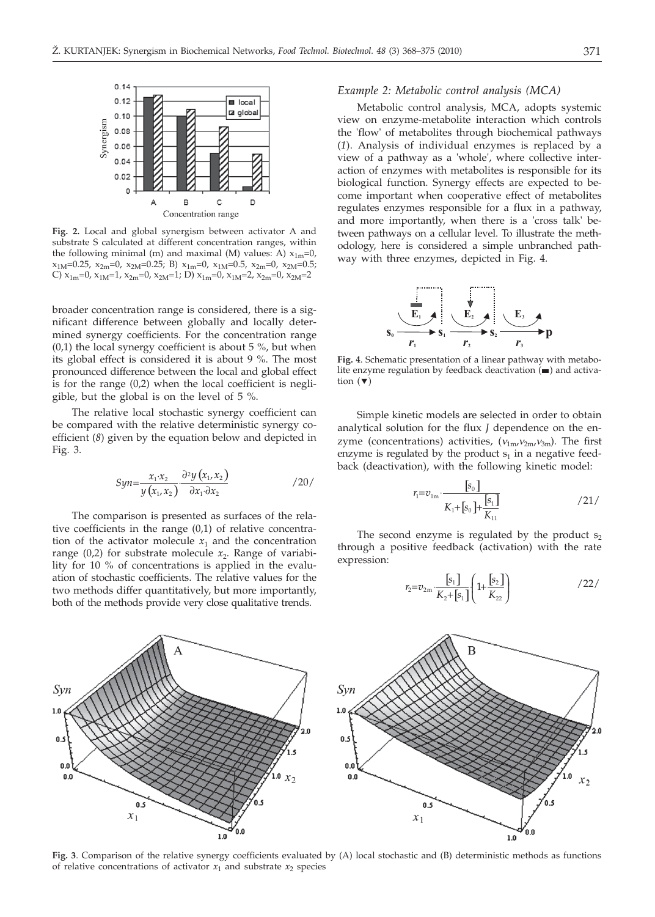

**Fig. 2.** Local and global synergism between activator A and substrate S calculated at different concentration ranges, within the following minimal (m) and maximal (M) values: A)  $x_{1m}$ =0,  $x_{1M}$ =0.25,  $x_{2m}$ =0,  $x_{2M}$ =0.25; B)  $x_{1m}$ =0,  $x_{1M}$ =0.5,  $x_{2m}$ =0,  $x_{2M}$ =0.5; C)  $x_{1m}$ =0,  $x_{1M}$ =1,  $x_{2m}$ =0,  $x_{2M}$ =1; D)  $x_{1m}$ =0,  $x_{1M}$ =2,  $x_{2m}$ =0,  $x_{2M}$ =2

broader concentration range is considered, there is a significant difference between globally and locally determined synergy coefficients. For the concentration range  $(0,1)$  the local synergy coefficient is about 5 %, but when its global effect is considered it is about 9 %. The most pronounced difference between the local and global effect is for the range (0,2) when the local coefficient is negligible, but the global is on the level of 5 %.

The relative local stochastic synergy coefficient can be compared with the relative deterministic synergy coefficient (*8*) given by the equation below and depicted in Fig. 3.

$$
Syn = \frac{x_1 \cdot x_2}{y(x_1, x_2)} \cdot \frac{\partial^2 y(x_1, x_2)}{\partial x_1 \cdot \partial x_2} \tag{20}
$$

The comparison is presented as surfaces of the relative coefficients in the range (0,1) of relative concentration of the activator molecule  $x_1$  and the concentration range  $(0,2)$  for substrate molecule  $x_2$ . Range of variability for 10 % of concentrations is applied in the evaluation of stochastic coefficients. The relative values for the two methods differ quantitatively, but more importantly, both of the methods provide very close qualitative trends.

#### *Example 2: Metabolic control analysis (MCA)*

Metabolic control analysis, MCA, adopts systemic view on enzyme-metabolite interaction which controls the 'flow' of metabolites through biochemical pathways (*1*). Analysis of individual enzymes is replaced by a view of a pathway as a 'whole', where collective interaction of enzymes with metabolites is responsible for its biological function. Synergy effects are expected to become important when cooperative effect of metabolites regulates enzymes responsible for a flux in a pathway, and more importantly, when there is a 'cross talk' between pathways on a cellular level. To illustrate the methodology, here is considered a simple unbranched pathway with three enzymes, depicted in Fig. 4.



**Fig. 4**. Schematic presentation of a linear pathway with metabolite enzyme regulation by feedback deactivation  $($  $\blacksquare)$  and activation  $(\blacktriangledown)$ 

Simple kinetic models are selected in order to obtain analytical solution for the flux *J* dependence on the enzyme (concentrations) activities, ( $v_{1m}$ ,  $v_{2m}$ ,  $v_{3m}$ ). The first enzyme is regulated by the product  $s_1$  in a negative feedback (deactivation), with the following kinetic model:

$$
r_1 = v_{1m} \cdot \frac{[s_0]}{K_1 + [s_0] + \frac{[s_1]}{K_{11}}}
$$
 (21/

The second enzyme is regulated by the product  $s<sub>2</sub>$ through a positive feedback (activation) with the rate expression:

$$
r_2 = v_{2m} \cdot \frac{[s_1]}{K_2 + [s_1]} \left( 1 + \frac{[s_2]}{K_{22}} \right) \tag{22/}
$$



**Fig. 3**. Comparison of the relative synergy coefficients evaluated by (A) local stochastic and (B) deterministic methods as functions of relative concentrations of activator  $x_1$  and substrate  $x_2$  species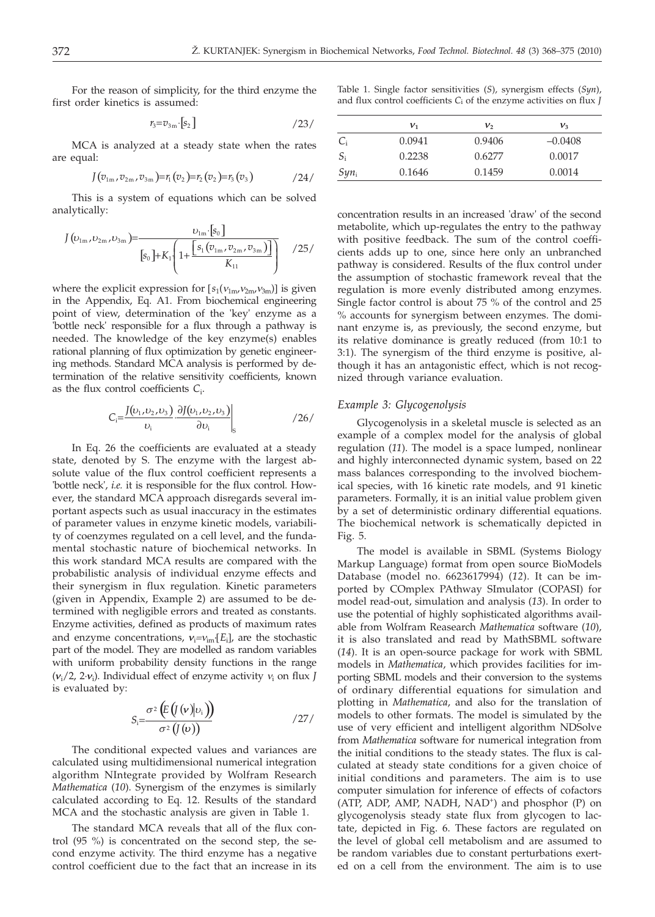For the reason of simplicity, for the third enzyme the first order kinetics is assumed:

$$
r_3 = v_{3\mathrm{m}} \left[ s_2 \right] \tag{23/}
$$

MCA is analyzed at a steady state when the rates are equal:

$$
J(v_{1m},v_{2m},v_{3m})=r_1(v_2)=r_2(v_2)=r_3(v_3)
$$

This is a system of equations which can be solved analytically:

$$
J(\nu_{1m}, \nu_{2m}, \nu_{3m}) = \frac{\nu_{1m} \cdot [s_0]}{[s_0] + K_1 \left(1 + \frac{[s_1(\nu_{1m}, \nu_{2m}, \nu_{3m})]}{K_{11}}\right)}
$$
 /25/

where the explicit expression for  $[s_1(v_{1m}, v_{2m}, v_{3m})]$  is given in the Appendix, Eq. A1. From biochemical engineering point of view, determination of the 'key' enzyme as a 'bottle neck' responsible for a flux through a pathway is needed. The knowledge of the key enzyme(s) enables rational planning of flux optimization by genetic engineering methods. Standard MCA analysis is performed by determination of the relative sensitivity coefficients, known as the flux control coefficients *C*<sup>i</sup> .

$$
C_i = \frac{J(\nu_1, \nu_2, \nu_3)}{\nu_i} \left. \frac{\partial J(\nu_1, \nu_2, \nu_3)}{\partial \nu_i} \right|_S \tag{26/}
$$

In Eq. 26 the coefficients are evaluated at a steady state, denoted by S. The enzyme with the largest absolute value of the flux control coefficient represents a 'bottle neck', *i.e.* it is responsible for the flux control. However, the standard MCA approach disregards several important aspects such as usual inaccuracy in the estimates of parameter values in enzyme kinetic models, variability of coenzymes regulated on a cell level, and the fundamental stochastic nature of biochemical networks. In this work standard MCA results are compared with the probabilistic analysis of individual enzyme effects and their synergism in flux regulation. Kinetic parameters (given in Appendix, Example 2) are assumed to be determined with negligible errors and treated as constants. Enzyme activities, defined as products of maximum rates and enzyme concentrations,  $v_i = v_{im} [E_i]$ , are the stochastic<br>part of the model. They are modelled as random variables part of the model. They are modelled as random variables with uniform probability density functions in the range  $(v_i/2, 2 \cdot v_i)$ . Individual effect of enzyme activity  $v_i$  on flux *J* is evaluated by: is evaluated by:

$$
S_i = \frac{\sigma^2 \left( E\left( \mathbf{y}(\mathbf{v}) | \mathbf{v}_i \right) \right)}{\sigma^2 \left( \mathbf{y}(\mathbf{v}) \right)}
$$
 (27)

The conditional expected values and variances are calculated using multidimensional numerical integration algorithm NIntegrate provided by Wolfram Research *Mathematica* (*10*). Synergism of the enzymes is similarly calculated according to Eq. 12. Results of the standard MCA and the stochastic analysis are given in Table 1.

The standard MCA reveals that all of the flux control (95 %) is concentrated on the second step, the second enzyme activity. The third enzyme has a negative control coefficient due to the fact that an increase in its

|  |  | Table 1. Single factor sensitivities $(S)$ , synergism effects $(Syn)$ , |  |
|--|--|--------------------------------------------------------------------------|--|
|  |  | and flux control coefficients $C_i$ of the enzyme activities on flux $J$ |  |

|         | ${\boldsymbol{\nu}}_1$ | ν,     | $v_{3}$   |
|---------|------------------------|--------|-----------|
| Ci      | 0.0941                 | 0.9406 | $-0.0408$ |
| $S_i$   | 0.2238                 | 0.6277 | 0.0017    |
| $Syn_i$ | 0.1646                 | 0.1459 | 0.0014    |

concentration results in an increased 'draw' of the second metabolite, which up-regulates the entry to the pathway with positive feedback. The sum of the control coefficients adds up to one, since here only an unbranched pathway is considered. Results of the flux control under the assumption of stochastic framework reveal that the regulation is more evenly distributed among enzymes. Single factor control is about 75 % of the control and 25 % accounts for synergism between enzymes. The dominant enzyme is, as previously, the second enzyme, but its relative dominance is greatly reduced (from 10:1 to 3:1). The synergism of the third enzyme is positive, although it has an antagonistic effect, which is not recognized through variance evaluation.

#### *Example 3: Glycogenolysis*

Glycogenolysis in a skeletal muscle is selected as an example of a complex model for the analysis of global regulation (*11*). The model is a space lumped, nonlinear and highly interconnected dynamic system, based on 22 mass balances corresponding to the involved biochemical species, with 16 kinetic rate models, and 91 kinetic parameters. Formally, it is an initial value problem given by a set of deterministic ordinary differential equations. The biochemical network is schematically depicted in Fig. 5.

The model is available in SBML (Systems Biology Markup Language) format from open source BioModels Database (model no. 6623617994) (*12*). It can be imported by COmplex PAthway SImulator (COPASI) for model read-out, simulation and analysis (*13*). In order to use the potential of highly sophisticated algorithms available from Wolfram Reasearch *Mathematica* software (*10*), it is also translated and read by MathSBML software (*14*). It is an open-source package for work with SBML models in *Mathematica*, which provides facilities for importing SBML models and their conversion to the systems of ordinary differential equations for simulation and plotting in *Mathematica*, and also for the translation of models to other formats. The model is simulated by the use of very efficient and intelligent algorithm NDSolve from *Mathematica* software for numerical integration from the initial conditions to the steady states. The flux is calculated at steady state conditions for a given choice of initial conditions and parameters. The aim is to use computer simulation for inference of effects of cofactors (ATP, ADP, AMP, NADH, NAD<sup>+</sup>) and phosphor (P) on glycogenolysis steady state flux from glycogen to lactate, depicted in Fig. 6. These factors are regulated on the level of global cell metabolism and are assumed to be random variables due to constant perturbations exerted on a cell from the environment. The aim is to use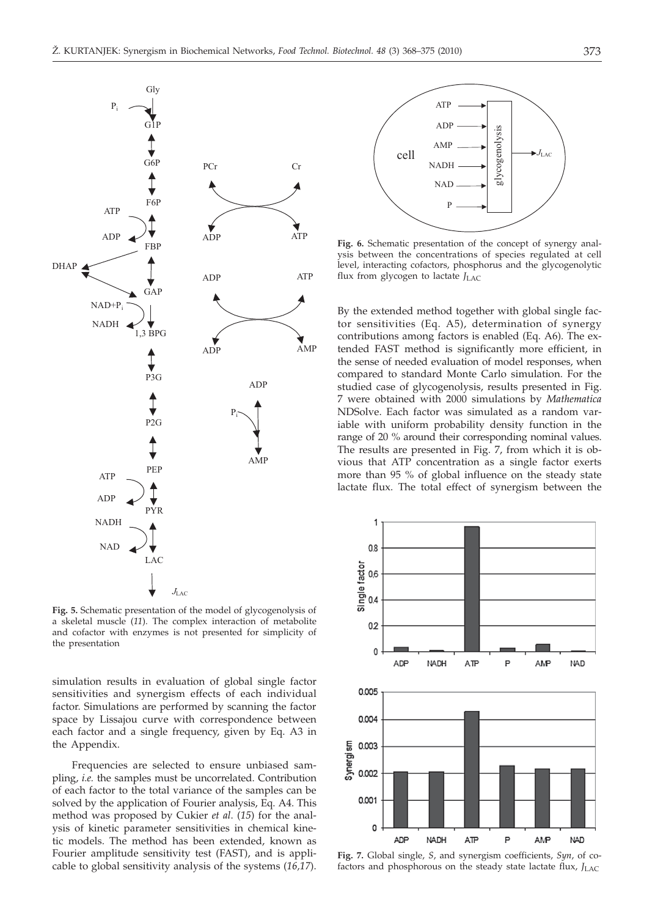

**Fig. 5.** Schematic presentation of the model of glycogenolysis of a skeletal muscle (*11*). The complex interaction of metabolite and cofactor with enzymes is not presented for simplicity of the presentation

simulation results in evaluation of global single factor sensitivities and synergism effects of each individual factor. Simulations are performed by scanning the factor space by Lissajou curve with correspondence between each factor and a single frequency, given by Eq. A3 in the Appendix.

Frequencies are selected to ensure unbiased sampling, *i.e.* the samples must be uncorrelated. Contribution of each factor to the total variance of the samples can be solved by the application of Fourier analysis, Eq. A4. This method was proposed by Cukier *et al*. (*15*) for the analysis of kinetic parameter sensitivities in chemical kinetic models. The method has been extended, known as Fourier amplitude sensitivity test (FAST), and is applicable to global sensitivity analysis of the systems (*16,17*).



**Fig. 6.** Schematic presentation of the concept of synergy analysis between the concentrations of species regulated at cell level, interacting cofactors, phosphorus and the glycogenolytic flux from glycogen to lactate *J*LAC

By the extended method together with global single factor sensitivities (Eq. A5), determination of synergy contributions among factors is enabled (Eq. A6). The extended FAST method is significantly more efficient, in the sense of needed evaluation of model responses, when compared to standard Monte Carlo simulation. For the studied case of glycogenolysis, results presented in Fig. 7 were obtained with 2000 simulations by *Mathematica* NDSolve. Each factor was simulated as a random variable with uniform probability density function in the range of 20 % around their corresponding nominal values. The results are presented in Fig. 7, from which it is obvious that ATP concentration as a single factor exerts more than 95 % of global influence on the steady state lactate flux. The total effect of synergism between the



**Fig. 7.** Global single, *S*, and synergism coefficients, *Syn*, of cofactors and phosphorous on the steady state lactate flux,  $J_{\text{LAC}}$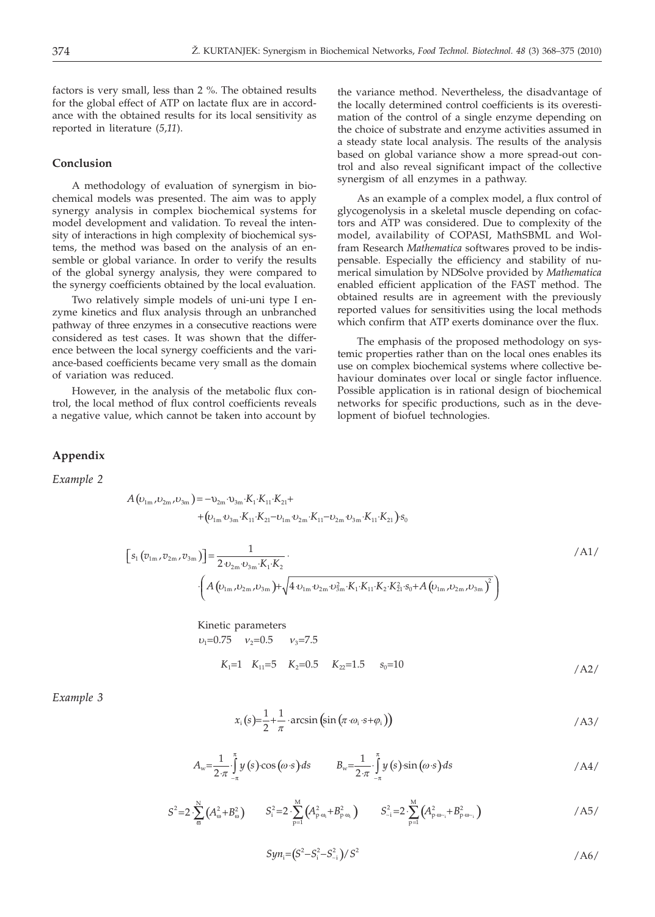factors is very small, less than 2 %. The obtained results for the global effect of ATP on lactate flux are in accordance with the obtained results for its local sensitivity as reported in literature (*5*,*11*).

## **Conclusion**

A methodology of evaluation of synergism in biochemical models was presented. The aim was to apply synergy analysis in complex biochemical systems for model development and validation. To reveal the intensity of interactions in high complexity of biochemical systems, the method was based on the analysis of an ensemble or global variance. In order to verify the results of the global synergy analysis, they were compared to the synergy coefficients obtained by the local evaluation.

Two relatively simple models of uni-uni type I enzyme kinetics and flux analysis through an unbranched pathway of three enzymes in a consecutive reactions were considered as test cases. It was shown that the difference between the local synergy coefficients and the variance-based coefficients became very small as the domain of variation was reduced.

However, in the analysis of the metabolic flux control, the local method of flux control coefficients reveals a negative value, which cannot be taken into account by

the variance method. Nevertheless, the disadvantage of the locally determined control coefficients is its overestimation of the control of a single enzyme depending on the choice of substrate and enzyme activities assumed in a steady state local analysis. The results of the analysis based on global variance show a more spread-out control and also reveal significant impact of the collective synergism of all enzymes in a pathway.

As an example of a complex model, a flux control of glycogenolysis in a skeletal muscle depending on cofactors and ATP was considered. Due to complexity of the model, availability of COPASI, MathSBML and Wolfram Research *Mathematica* softwares proved to be indispensable. Especially the efficiency and stability of numerical simulation by NDSolve provided by *Mathematica* enabled efficient application of the FAST method. The obtained results are in agreement with the previously reported values for sensitivities using the local methods which confirm that ATP exerts dominance over the flux.

The emphasis of the proposed methodology on systemic properties rather than on the local ones enables its use on complex biochemical systems where collective behaviour dominates over local or single factor influence. Possible application is in rational design of biochemical networks for specific productions, such as in the development of biofuel technologies.

### **Appendix**

*Example 2*

$$
A (\nu_{1m}, \nu_{2m}, \nu_{3m}) = -\nu_{2m} \cdot \nu_{3m} \cdot K_1 \cdot K_{11} \cdot K_{21} ++ (\nu_{1m} \cdot \nu_{3m} \cdot K_{11} \cdot K_{21} - \nu_{1m} \cdot \nu_{2m} \cdot K_{11} - \nu_{2m} \cdot \nu_{3m} \cdot K_{11} \cdot K_{21}) \cdot s_0
$$

$$
[s_{1}(v_{1m}, v_{2m}, v_{3m})] = \frac{1}{2 \, v_{2m} \, v_{3m} \cdot K_{1} \cdot K_{2}} \cdot (A(v_{1m}, v_{2m}, v_{3m}) + \sqrt{4 \, v_{1m} \, v_{2m} \, v_{3m}^{2} \cdot K_{1} \cdot K_{1} \cdot K_{2} \cdot K_{2}^{2} \cdot s_{0} + A(v_{1m}, v_{2m}, v_{3m})^{2}})
$$

Kinetic parameters  
\n
$$
v_1=0.75
$$
  $v_2=0.5$   $v_3=7.5$   
\n $K_1=1$   $K_{11}=5$   $K_2=0.5$   $K_{22}=1.5$   $s_0=10$ 

*Example 3*

$$
x_{i}(s) = \frac{1}{2} + \frac{1}{\pi} \cdot \arcsin\left(\sin\left(\pi \cdot \omega_{i} \cdot s + \varphi_{i}\right)\right)
$$
 (A3)

$$
A_{w} = \frac{1}{2\pi} \int_{-\pi}^{\pi} y(s) \cos(\omega \cdot s) ds \qquad B_{w} = \frac{1}{2\pi} \int_{-\pi}^{\pi} y(s) \sin(\omega \cdot s) ds \qquad (A4)
$$

$$
S^{2}=2\cdot\sum_{\varpi}^{N}\left(A_{\omega}^{2}+B_{\omega}^{2}\right) \qquad S_{i}^{2}=2\cdot\sum_{p=1}^{M}\left(A_{p\cdot\omega_{i}}^{2}+B_{p\cdot\omega_{i}}^{2}\right) \qquad S_{\sim i}^{2}=2\cdot\sum_{p=1}^{M}\left(A_{p\cdot\omega_{\sim i}}^{2}+B_{p\cdot\omega_{\sim i}}^{2}\right) \qquad (AS/1)
$$

$$
Syn_i = (S^2 - S_i^2 - S_{-i}^2)/S^2
$$